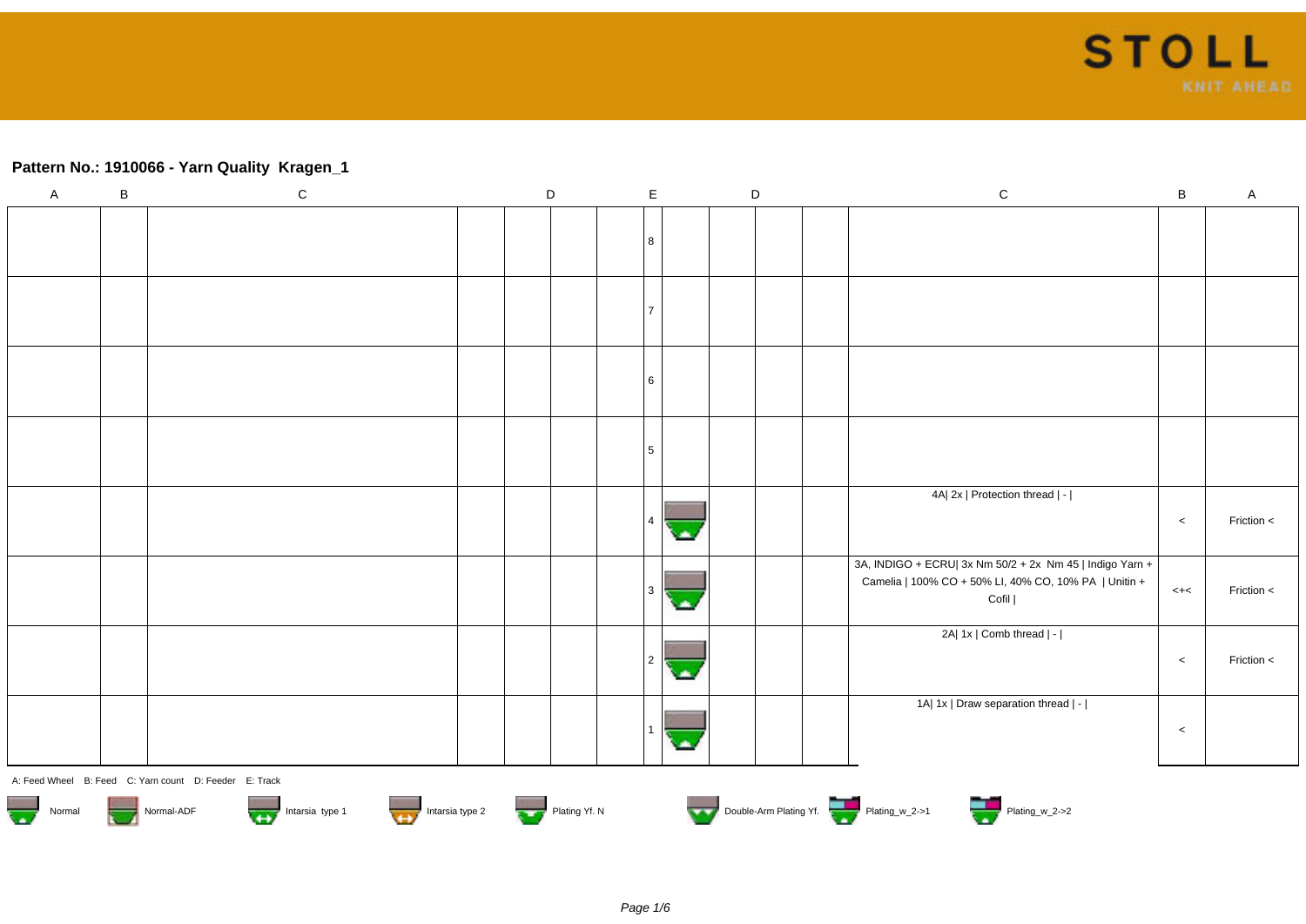

#### **Pattern No.: 1910066 - Yarn Quality Kragen\_1**

| $\mathsf{A}$                      | $\sf B$ | $\mathbf C$                                            |  | D             | $\mathsf E$     |    | $\mathsf D$ | ${\bf C}$                                                                                                         | $\sf B$ | $\mathsf A$ |
|-----------------------------------|---------|--------------------------------------------------------|--|---------------|-----------------|----|-------------|-------------------------------------------------------------------------------------------------------------------|---------|-------------|
|                                   |         |                                                        |  |               |                 |    |             |                                                                                                                   |         |             |
|                                   |         |                                                        |  |               | 8               |    |             |                                                                                                                   |         |             |
|                                   |         |                                                        |  |               |                 |    |             |                                                                                                                   |         |             |
|                                   |         |                                                        |  |               | $\overline{7}$  |    |             |                                                                                                                   |         |             |
|                                   |         |                                                        |  |               |                 |    |             |                                                                                                                   |         |             |
|                                   |         |                                                        |  |               | 6               |    |             |                                                                                                                   |         |             |
|                                   |         |                                                        |  |               |                 |    |             |                                                                                                                   |         |             |
|                                   |         |                                                        |  |               | $5\phantom{.0}$ |    |             |                                                                                                                   |         |             |
|                                   |         |                                                        |  |               |                 |    |             | 4A  2x   Protection thread   -                                                                                    |         |             |
|                                   |         |                                                        |  |               | 4               | œ  |             |                                                                                                                   | $\,<$   | Friction <  |
|                                   |         |                                                        |  |               |                 |    |             | 3A, INDIGO + ECRU  3x Nm 50/2 + 2x Nm 45   Indigo Yarn +<br>Camelia   100% CO + 50% LI, 40% CO, 10% PA   Unitin + |         |             |
|                                   |         |                                                        |  |               | $\mathbf{3}$    | с. |             | Cofil                                                                                                             | $< +<$  | Friction <  |
|                                   |         |                                                        |  |               |                 |    |             | 2A  1x   Comb thread   -                                                                                          |         |             |
|                                   |         |                                                        |  |               | $\overline{2}$  | C. |             |                                                                                                                   | $\,<\,$ | Friction <  |
|                                   |         |                                                        |  |               |                 |    |             | 1A  1x   Draw separation thread   -                                                                               |         |             |
|                                   |         |                                                        |  |               |                 | a. |             |                                                                                                                   | $\,<$   |             |
|                                   |         | A: Feed Wheel B: Feed C: Yarn count D: Feeder E: Track |  |               |                 |    |             |                                                                                                                   |         |             |
| $\overline{\mathbf{w}}$<br>Normal |         | Intarsia type 2<br>Intarsia type 1<br>Normal-ADF       |  | Plating Yf. N |                 |    |             | Double-Arm Plating Yf.                                                                                            |         |             |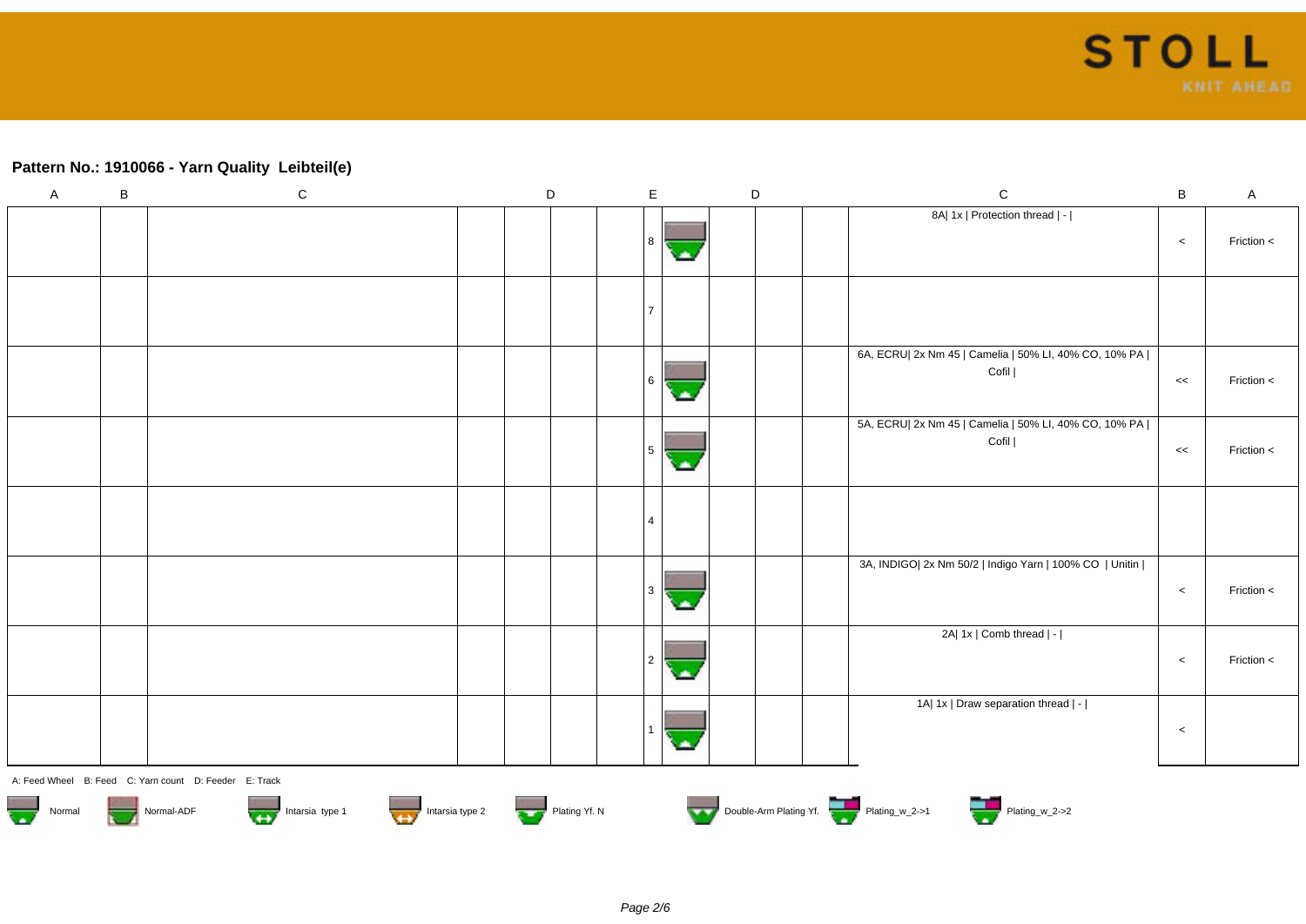# **Pattern No.: 1910066 - Yarn Quality Leibteil(e)**

| $\mathsf A$                                                                                                                                                                                                                    | $\, {\bf B}$ | ${\bf C}$                                              | $\mathsf D$ |  | $\mathsf E$ |      | $\mathsf D$ | $\mathsf C$<br>$\sf{B}$<br>$\sf A$                                                     |  |  |
|--------------------------------------------------------------------------------------------------------------------------------------------------------------------------------------------------------------------------------|--------------|--------------------------------------------------------|-------------|--|-------------|------|-------------|----------------------------------------------------------------------------------------|--|--|
|                                                                                                                                                                                                                                |              |                                                        |             |  | 8           | ٠    |             | 8A  1x   Protection thread   -  <br>Friction <<br>$\,<\,$                              |  |  |
|                                                                                                                                                                                                                                |              |                                                        |             |  | ا 7         |      |             |                                                                                        |  |  |
|                                                                                                                                                                                                                                |              |                                                        |             |  | 6           | alla |             | 6A, ECRU  2x Nm 45   Camelia   50% LI, 40% CO, 10% PA  <br>Cofil  <br>Friction <<br><< |  |  |
|                                                                                                                                                                                                                                |              |                                                        |             |  | 5           | ×    |             | 5A, ECRU  2x Nm 45   Camelia   50% LI, 40% CO, 10% PA  <br>Cofil  <br>Friction <<br><< |  |  |
|                                                                                                                                                                                                                                |              |                                                        |             |  | <b>4</b>    |      |             |                                                                                        |  |  |
|                                                                                                                                                                                                                                |              |                                                        |             |  | l 3         | ۰    |             | 3A, INDIGO  2x Nm 50/2   Indigo Yarn   100% CO   Unitin  <br>Friction <<br>$\,<\,$     |  |  |
|                                                                                                                                                                                                                                |              |                                                        |             |  | 2           | ٠    |             | 2A  1x   Comb thread   -  <br>Friction <<br>$\prec$                                    |  |  |
|                                                                                                                                                                                                                                |              |                                                        |             |  |             | ٠    |             | 1A  1x   Draw separation thread   -  <br>$\,<\,$                                       |  |  |
|                                                                                                                                                                                                                                |              | A: Feed Wheel B: Feed C: Yarn count D: Feeder E: Track |             |  |             |      |             |                                                                                        |  |  |
| Normal Normal-ADF Normal-ADF Intarsia type 1 Intarsia type 2 Intarsia type 2 Intarsia type 2 Intarsia type 2 Intarsia type 2 Intarsia type 2 Intarsia type 2 Intarsia type 2 Intarsia type 2 Intarsia type 2 Intarsia type 2 I |              |                                                        |             |  |             |      |             |                                                                                        |  |  |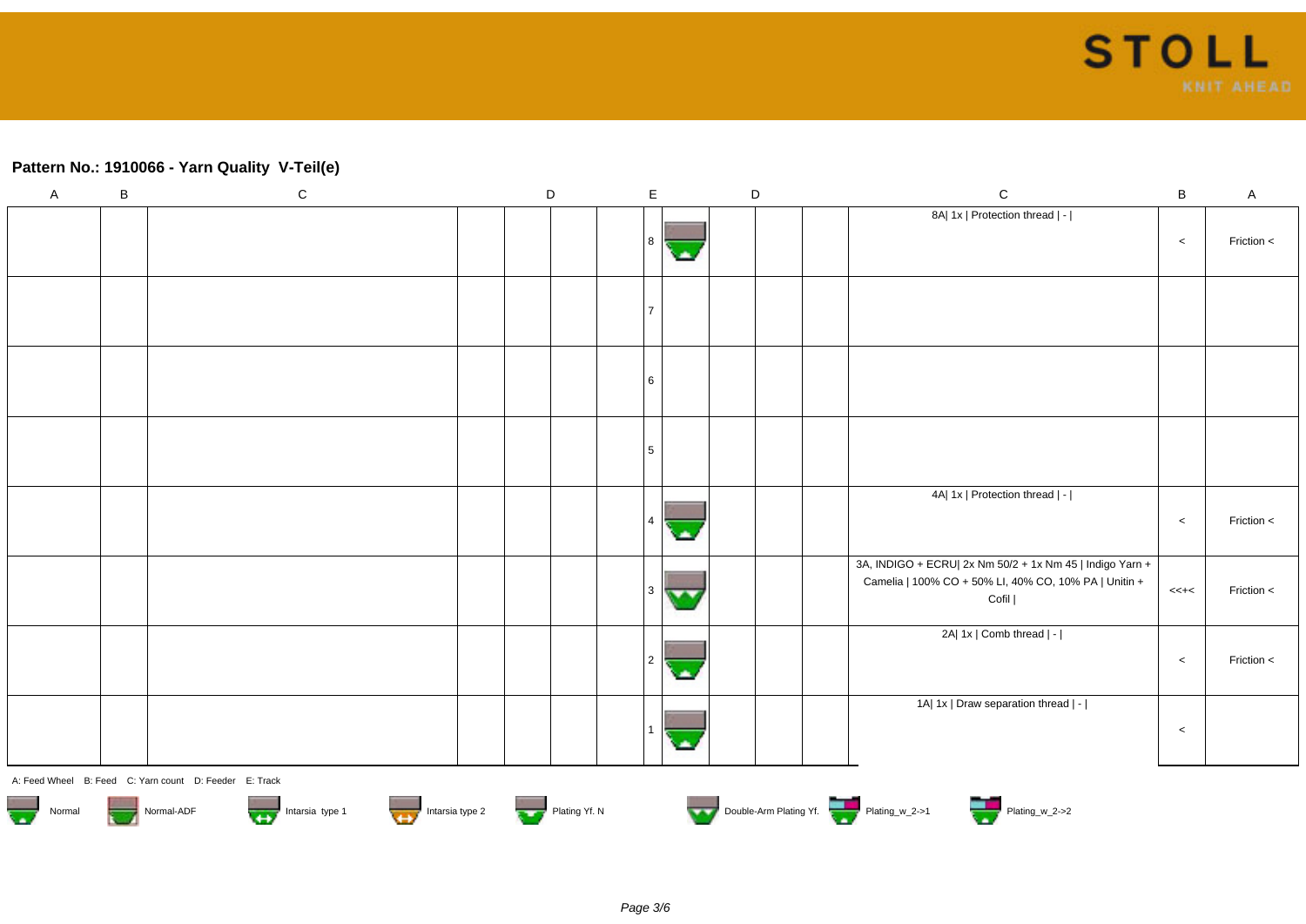### **Pattern No.: 1910066 - Yarn Quality V-Teil(e)**

| $\mathsf{A}$ | $\sf B$ | ${\bf C}$                                              | $\mathsf D$   | $\mathsf E$                     | D | ${\bf C}$<br>$\, {\bf B}$<br>$\mathsf{A}$                                                                                                            |  |
|--------------|---------|--------------------------------------------------------|---------------|---------------------------------|---|------------------------------------------------------------------------------------------------------------------------------------------------------|--|
|              |         |                                                        |               | 8<br><b>A</b>                   |   | 8A  1x   Protection thread   -  <br>Friction <<br>$\,<$                                                                                              |  |
|              |         |                                                        |               |                                 |   |                                                                                                                                                      |  |
|              |         |                                                        |               | 6                               |   |                                                                                                                                                      |  |
|              |         |                                                        |               | 5                               |   |                                                                                                                                                      |  |
|              |         |                                                        |               | $\mathbf{\Delta}$               |   | 4A  1x   Protection thread   -  <br>Friction <<br>$\,<$                                                                                              |  |
|              |         |                                                        |               | 3 l<br>$\overline{\phantom{a}}$ |   | 3A, INDIGO + ECRU  2x Nm 50/2 + 1x Nm 45   Indigo Yarn +<br>Camelia   100% CO + 50% LI, 40% CO, 10% PA   Unitin +<br>Friction <<br>$<< + <$<br>Cofil |  |
|              |         |                                                        |               | 2<br>ڪ                          |   | 2A  1x   Comb thread   -  <br>Friction <<br>$\,<$                                                                                                    |  |
|              |         |                                                        |               |                                 |   | 1A  1x   Draw separation thread   -  <br>$\,<$                                                                                                       |  |
|              |         | A: Feed Wheel B: Feed C: Yarn count D: Feeder E: Track |               |                                 |   |                                                                                                                                                      |  |
| Normal       |         | Normal-ADF<br>Intarsia type 1<br>Intarsia type 2       | Plating Yf. N |                                 |   | Double-Arm Plating Yf.<br>Plating_w_2->2                                                                                                             |  |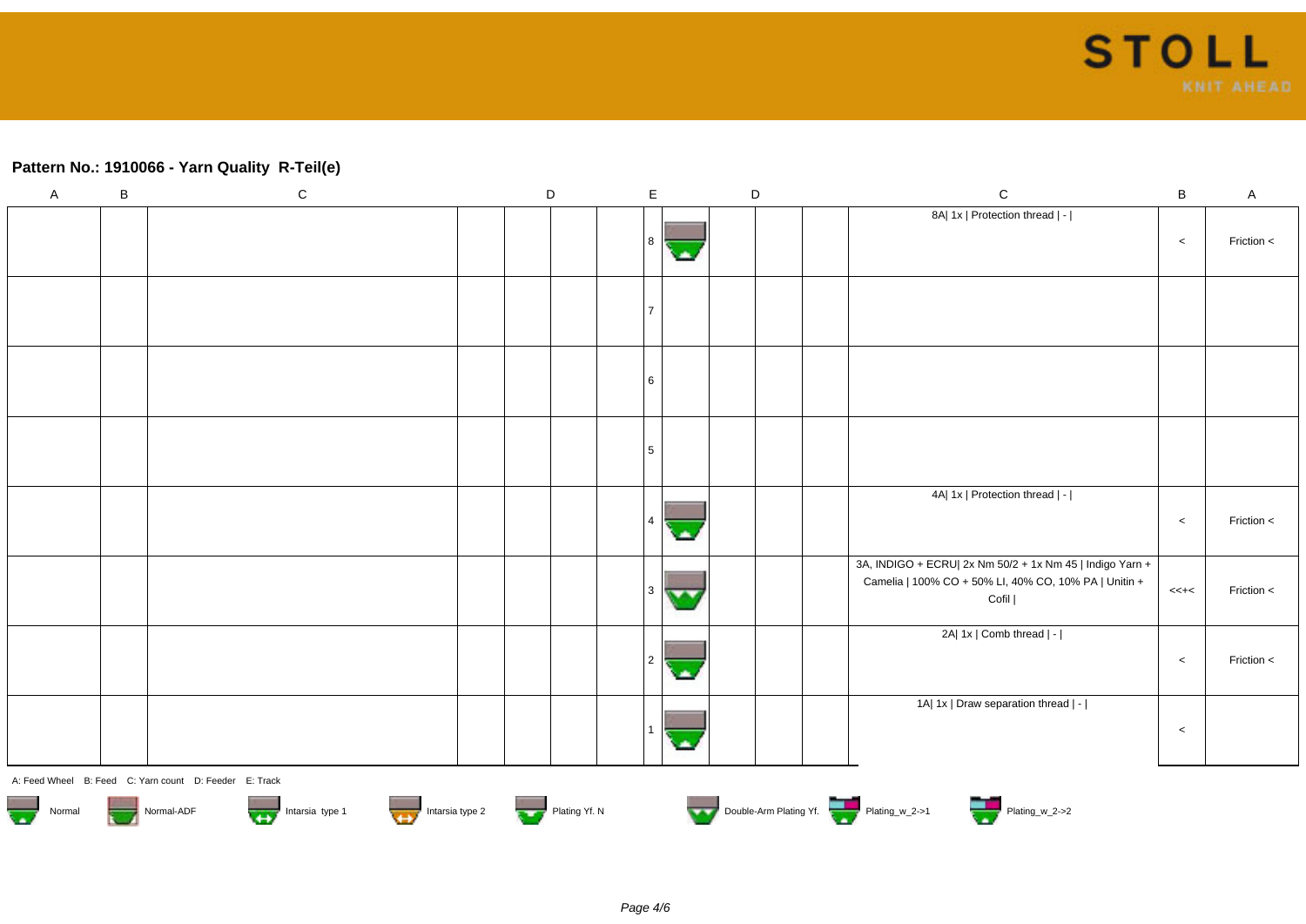### **Pattern No.: 1910066 - Yarn Quality R-Teil(e)**

| $\mathsf{A}$                      | $\, {\bf B}$ | ${\bf C}$                                              | $\mathsf D$   | $\mathsf E$                   |             | $\mathsf D$ |  | ${\bf C}$                                                                                                                  | $\, {\bf B}$ | $\mathsf{A}$ |
|-----------------------------------|--------------|--------------------------------------------------------|---------------|-------------------------------|-------------|-------------|--|----------------------------------------------------------------------------------------------------------------------------|--------------|--------------|
|                                   |              |                                                        |               | 8                             | <b>CALL</b> |             |  | 8A  1x   Protection thread   -                                                                                             | $\,<$        | Friction <   |
|                                   |              |                                                        |               |                               |             |             |  |                                                                                                                            |              |              |
|                                   |              |                                                        |               | 6                             |             |             |  |                                                                                                                            |              |              |
|                                   |              |                                                        |               | 5                             |             |             |  |                                                                                                                            |              |              |
|                                   |              |                                                        |               |                               |             |             |  | 4A  1x   Protection thread   -                                                                                             | $\,<$        | Friction $<$ |
|                                   |              |                                                        |               | 3<br>$\overline{\phantom{a}}$ |             |             |  | 3A, INDIGO + ECRU  2x Nm 50/2 + 1x Nm 45   Indigo Yarn +<br>Camelia   100% CO + 50% LI, 40% CO, 10% PA   Unitin +<br>Cofil | $<< + <$     | Friction <   |
|                                   |              |                                                        |               | 2                             |             |             |  | 2A  1x   Comb thread   -                                                                                                   | $\,<$        | Friction <   |
|                                   |              |                                                        |               |                               |             |             |  | 1A  1x   Draw separation thread   -                                                                                        | $\,<$        |              |
|                                   |              | A: Feed Wheel B: Feed C: Yarn count D: Feeder E: Track |               |                               |             |             |  |                                                                                                                            |              |              |
| $\overline{\mathbf{r}}$<br>Normal |              | Intarsia type 2<br>Normal-ADF<br>Intarsia type 1       | Plating Yf. N |                               |             |             |  | Double-Arm Plating Yf.                                                                                                     |              |              |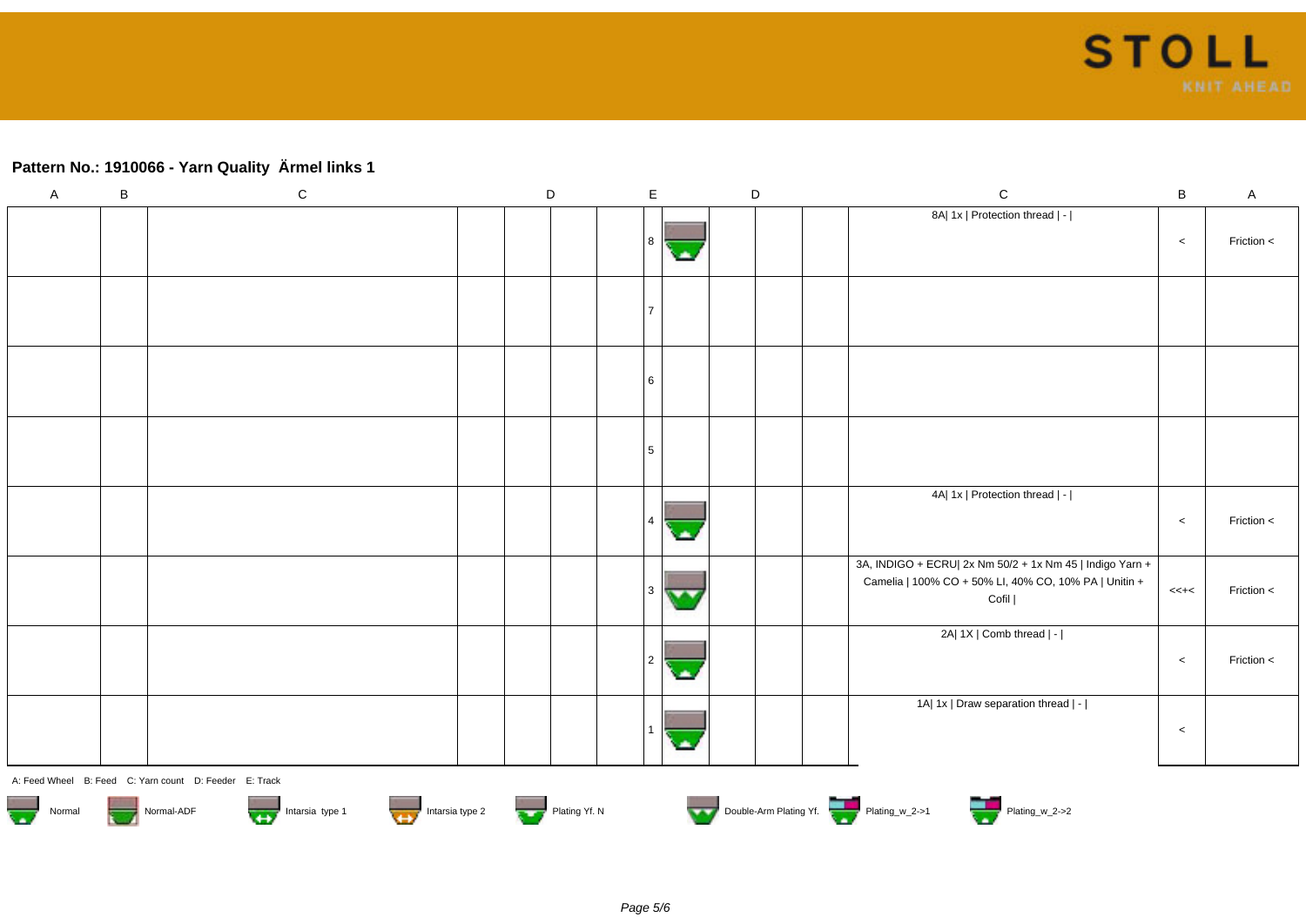# **Pattern No.: 1910066 - Yarn Quality Ärmel links 1**

| $\mathsf A$                        | $\, {\bf B}$ | ${\rm C}$                                              | $\mathsf D$   | $\mathsf E$ |            | $\mathsf D$ | ${\bf C}$                                                                                                                  | $\sf B$  | $\mathsf A$ |
|------------------------------------|--------------|--------------------------------------------------------|---------------|-------------|------------|-------------|----------------------------------------------------------------------------------------------------------------------------|----------|-------------|
|                                    |              |                                                        |               | 8           | ×          |             | 8A  1x   Protection thread   -                                                                                             | $\,<$    | Friction <  |
|                                    |              |                                                        |               | 17          |            |             |                                                                                                                            |          |             |
|                                    |              |                                                        |               | 6           |            |             |                                                                                                                            |          |             |
|                                    |              |                                                        |               | 5           |            |             |                                                                                                                            |          |             |
|                                    |              |                                                        |               | $\vert$ 4   | olin,      |             | 4A  1x   Protection thread   -                                                                                             | $\,<$    | Friction <  |
|                                    |              |                                                        |               | l 3         | <b>MAG</b> |             | 3A, INDIGO + ECRU  2x Nm 50/2 + 1x Nm 45   Indigo Yarn +<br>Camelia   100% CO + 50% LI, 40% CO, 10% PA   Unitin +<br>Cofil | $<< + <$ | Friction <  |
|                                    |              |                                                        |               | 2           | ×          |             | 2A  1X   Comb thread   -                                                                                                   | $\,<\,$  | Friction <  |
|                                    |              |                                                        |               | -1          | ٠          |             | 1A  1x   Draw separation thread   -                                                                                        | $\,<$    |             |
|                                    |              | A: Feed Wheel B: Feed C: Yarn count D: Feeder E: Track |               |             |            |             |                                                                                                                            |          |             |
| $\overline{\phantom{a}}$<br>Normal |              | Normal-ADF<br>Intarsia type 1<br>Intarsia type 2       | Plating Yf. N |             |            |             | Double-Arm Plating Yf.<br>Plating_w_2->2                                                                                   |          |             |